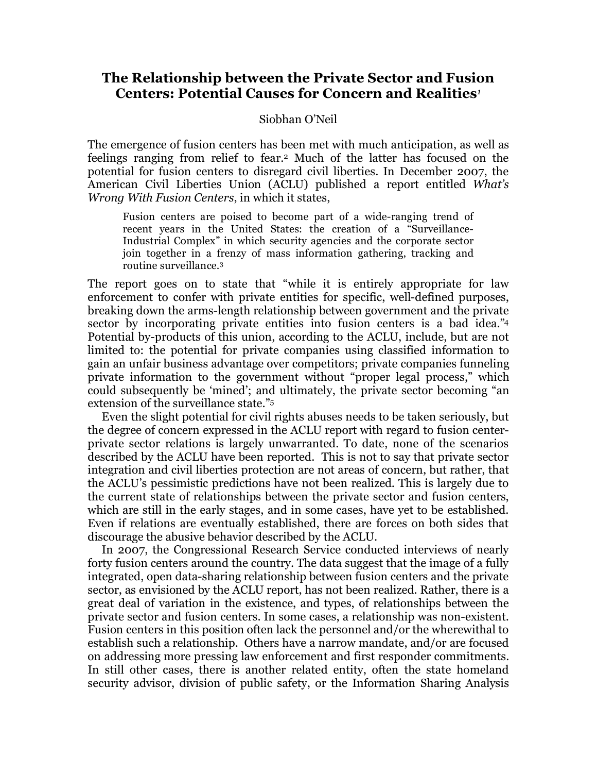## **The Relationship between the Private Sector and Fusion Centers: Potential Causes for Concern and Realities***<sup>1</sup>*

## Siobhan O'Neil

The emergence of fusion centers has been met with much anticipation, as well as feelings ranging from relief to fear.2 Much of the latter has focused on the potential for fusion centers to disregard civil liberties. In December 2007, the American Civil Liberties Union (ACLU) published a report entitled *What's Wrong With Fusion Centers*, in which it states,

Fusion centers are poised to become part of a wide-ranging trend of recent years in the United States: the creation of a "Surveillance-Industrial Complex" in which security agencies and the corporate sector join together in a frenzy of mass information gathering, tracking and routine surveillance.3

The report goes on to state that "while it is entirely appropriate for law enforcement to confer with private entities for specific, well-defined purposes, breaking down the arms-length relationship between government and the private sector by incorporating private entities into fusion centers is a bad idea."4 Potential by-products of this union, according to the ACLU, include, but are not limited to: the potential for private companies using classified information to gain an unfair business advantage over competitors; private companies funneling private information to the government without "proper legal process," which could subsequently be 'mined'; and ultimately, the private sector becoming "an extension of the surveillance state."5

Even the slight potential for civil rights abuses needs to be taken seriously, but the degree of concern expressed in the ACLU report with regard to fusion centerprivate sector relations is largely unwarranted. To date, none of the scenarios described by the ACLU have been reported. This is not to say that private sector integration and civil liberties protection are not areas of concern, but rather, that the ACLU's pessimistic predictions have not been realized. This is largely due to the current state of relationships between the private sector and fusion centers, which are still in the early stages, and in some cases, have yet to be established. Even if relations are eventually established, there are forces on both sides that discourage the abusive behavior described by the ACLU.

In 2007, the Congressional Research Service conducted interviews of nearly forty fusion centers around the country. The data suggest that the image of a fully integrated, open data-sharing relationship between fusion centers and the private sector, as envisioned by the ACLU report, has not been realized. Rather, there is a great deal of variation in the existence, and types, of relationships between the private sector and fusion centers. In some cases, a relationship was non-existent. Fusion centers in this position often lack the personnel and/or the wherewithal to establish such a relationship. Others have a narrow mandate, and/or are focused on addressing more pressing law enforcement and first responder commitments. In still other cases, there is another related entity, often the state homeland security advisor, division of public safety, or the Information Sharing Analysis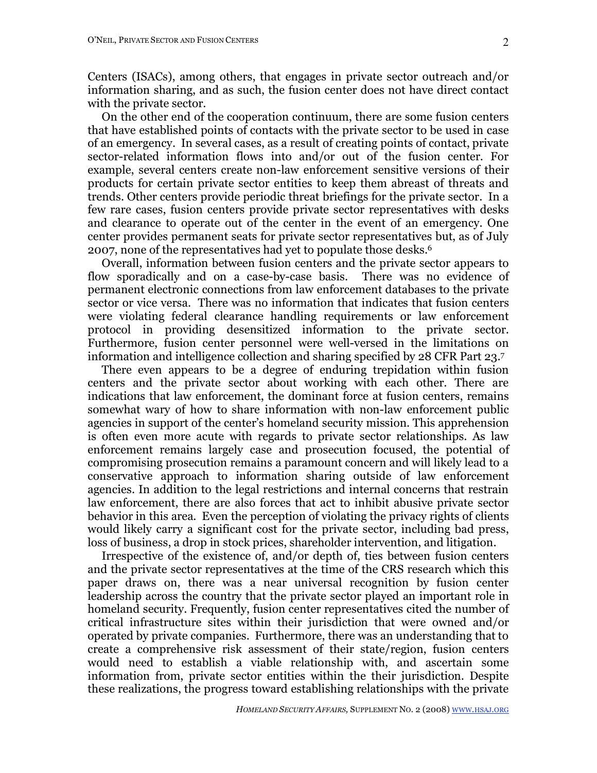Centers (ISACs), among others, that engages in private sector outreach and/or information sharing, and as such, the fusion center does not have direct contact with the private sector.

On the other end of the cooperation continuum, there are some fusion centers that have established points of contacts with the private sector to be used in case of an emergency. In several cases, as a result of creating points of contact, private sector-related information flows into and/or out of the fusion center. For example, several centers create non-law enforcement sensitive versions of their products for certain private sector entities to keep them abreast of threats and trends. Other centers provide periodic threat briefings for the private sector. In a few rare cases, fusion centers provide private sector representatives with desks and clearance to operate out of the center in the event of an emergency. One center provides permanent seats for private sector representatives but, as of July 2007, none of the representatives had yet to populate those desks. 6

Overall, information between fusion centers and the private sector appears to flow sporadically and on a case-by-case basis. There was no evidence of permanent electronic connections from law enforcement databases to the private sector or vice versa. There was no information that indicates that fusion centers were violating federal clearance handling requirements or law enforcement protocol in providing desensitized information to the private sector. Furthermore, fusion center personnel were well-versed in the limitations on information and intelligence collection and sharing specified by 28 CFR Part 23.7

There even appears to be a degree of enduring trepidation within fusion centers and the private sector about working with each other. There are indications that law enforcement, the dominant force at fusion centers, remains somewhat wary of how to share information with non-law enforcement public agencies in support of the center's homeland security mission. This apprehension is often even more acute with regards to private sector relationships. As law enforcement remains largely case and prosecution focused, the potential of compromising prosecution remains a paramount concern and will likely lead to a conservative approach to information sharing outside of law enforcement agencies. In addition to the legal restrictions and internal concerns that restrain law enforcement, there are also forces that act to inhibit abusive private sector behavior in this area. Even the perception of violating the privacy rights of clients would likely carry a significant cost for the private sector, including bad press, loss of business, a drop in stock prices, shareholder intervention, and litigation.

Irrespective of the existence of, and/or depth of, ties between fusion centers and the private sector representatives at the time of the CRS research which this paper draws on, there was a near universal recognition by fusion center leadership across the country that the private sector played an important role in homeland security. Frequently, fusion center representatives cited the number of critical infrastructure sites within their jurisdiction that were owned and/or operated by private companies. Furthermore, there was an understanding that to create a comprehensive risk assessment of their state/region, fusion centers would need to establish a viable relationship with, and ascertain some information from, private sector entities within the their jurisdiction. Despite these realizations, the progress toward establishing relationships with the private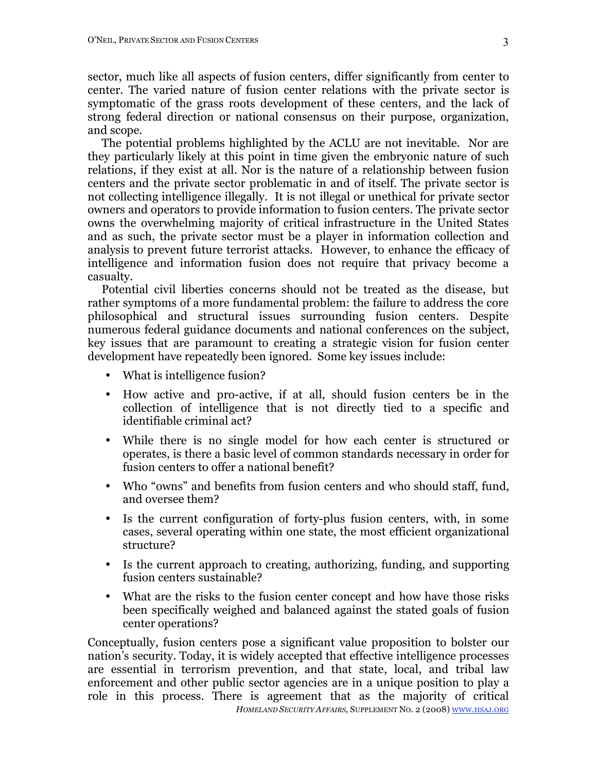sector, much like all aspects of fusion centers, differ significantly from center to center. The varied nature of fusion center relations with the private sector is symptomatic of the grass roots development of these centers, and the lack of strong federal direction or national consensus on their purpose, organization, and scope.

The potential problems highlighted by the ACLU are not inevitable. Nor are they particularly likely at this point in time given the embryonic nature of such relations, if they exist at all. Nor is the nature of a relationship between fusion centers and the private sector problematic in and of itself. The private sector is not collecting intelligence illegally. It is not illegal or unethical for private sector owners and operators to provide information to fusion centers. The private sector owns the overwhelming majority of critical infrastructure in the United States and as such, the private sector must be a player in information collection and analysis to prevent future terrorist attacks. However, to enhance the efficacy of intelligence and information fusion does not require that privacy become a casualty.

Potential civil liberties concerns should not be treated as the disease, but rather symptoms of a more fundamental problem: the failure to address the core philosophical and structural issues surrounding fusion centers. Despite numerous federal guidance documents and national conferences on the subject, key issues that are paramount to creating a strategic vision for fusion center development have repeatedly been ignored. Some key issues include:

- What is intelligence fusion?
- How active and pro-active, if at all, should fusion centers be in the collection of intelligence that is not directly tied to a specific and identifiable criminal act?
- While there is no single model for how each center is structured or operates, is there a basic level of common standards necessary in order for fusion centers to offer a national benefit?
- Who "owns" and benefits from fusion centers and who should staff, fund, and oversee them?
- Is the current configuration of forty-plus fusion centers, with, in some cases, several operating within one state, the most efficient organizational structure?
- Is the current approach to creating, authorizing, funding, and supporting fusion centers sustainable?
- What are the risks to the fusion center concept and how have those risks been specifically weighed and balanced against the stated goals of fusion center operations?

*HOMELAND SECURITY AFFAIRS,* SUPPLEMENT NO. 2 (2008) WWW.HSAJ.ORG Conceptually, fusion centers pose a significant value proposition to bolster our nation's security. Today, it is widely accepted that effective intelligence processes are essential in terrorism prevention, and that state, local, and tribal law enforcement and other public sector agencies are in a unique position to play a role in this process. There is agreement that as the majority of critical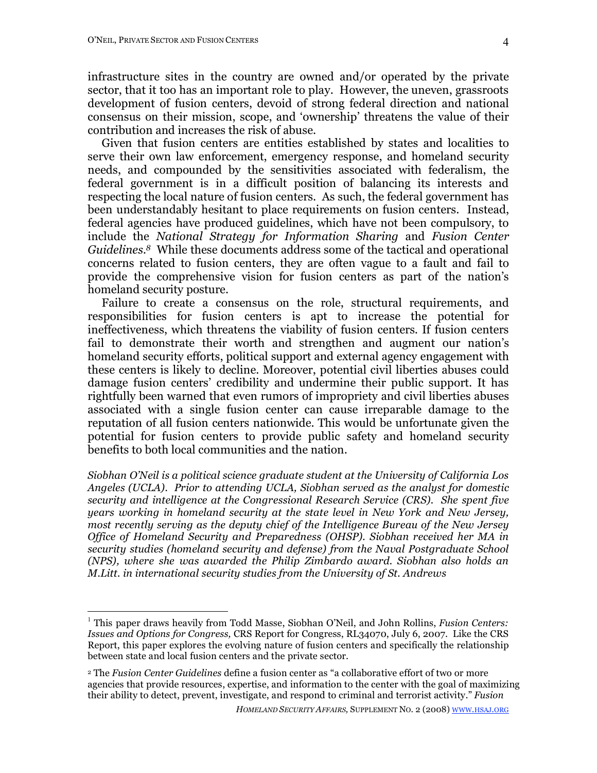infrastructure sites in the country are owned and/or operated by the private sector, that it too has an important role to play. However, the uneven, grassroots development of fusion centers, devoid of strong federal direction and national consensus on their mission, scope, and 'ownership' threatens the value of their contribution and increases the risk of abuse.

Given that fusion centers are entities established by states and localities to serve their own law enforcement, emergency response, and homeland security needs, and compounded by the sensitivities associated with federalism, the federal government is in a difficult position of balancing its interests and respecting the local nature of fusion centers. As such, the federal government has been understandably hesitant to place requirements on fusion centers. Instead, federal agencies have produced guidelines, which have not been compulsory, to include the *National Strategy for Information Sharing* and *Fusion Center Guidelines. <sup>8</sup>* While these documents address some of the tactical and operational concerns related to fusion centers, they are often vague to a fault and fail to provide the comprehensive vision for fusion centers as part of the nation's homeland security posture.

Failure to create a consensus on the role, structural requirements, and responsibilities for fusion centers is apt to increase the potential for ineffectiveness, which threatens the viability of fusion centers. If fusion centers fail to demonstrate their worth and strengthen and augment our nation's homeland security efforts, political support and external agency engagement with these centers is likely to decline. Moreover, potential civil liberties abuses could damage fusion centers' credibility and undermine their public support. It has rightfully been warned that even rumors of impropriety and civil liberties abuses associated with a single fusion center can cause irreparable damage to the reputation of all fusion centers nationwide. This would be unfortunate given the potential for fusion centers to provide public safety and homeland security benefits to both local communities and the nation.

*Siobhan O'Neil is a political science graduate student at the University of California Los Angeles (UCLA). Prior to attending UCLA, Siobhan served as the analyst for domestic security and intelligence at the Congressional Research Service (CRS). She spent five years working in homeland security at the state level in New York and New Jersey, most recently serving as the deputy chief of the Intelligence Bureau of the New Jersey Office of Homeland Security and Preparedness (OHSP). Siobhan received her MA in security studies (homeland security and defense) from the Naval Postgraduate School (NPS), where she was awarded the Philip Zimbardo award. Siobhan also holds an M.Litt. in international security studies from the University of St. Andrews*

 <sup>1</sup> This paper draws heavily from Todd Masse, Siobhan O'Neil, and John Rollins, *Fusion Centers: Issues and Options for Congress,* CRS Report for Congress, RL34070, July 6, 2007. Like the CRS Report, this paper explores the evolving nature of fusion centers and specifically the relationship between state and local fusion centers and the private sector.

<sup>2</sup> The *Fusion Center Guidelines* define a fusion center as "a collaborative effort of two or more agencies that provide resources, expertise, and information to the center with the goal of maximizing their ability to detect, prevent, investigate, and respond to criminal and terrorist activity." *Fusion*